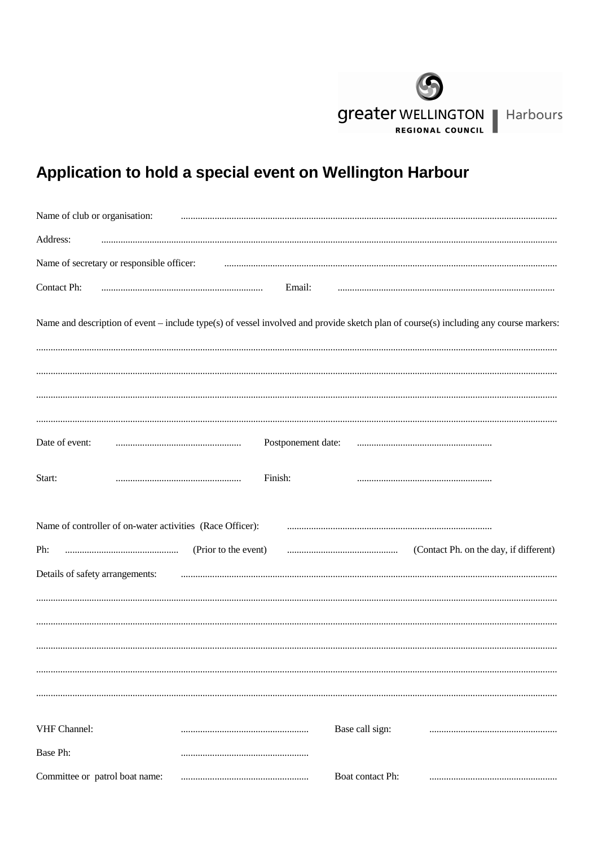

## Application to hold a special event on Wellington Harbour

| Name of club or organisation:                             |                      |                    |                  |                                                                                                                                       |
|-----------------------------------------------------------|----------------------|--------------------|------------------|---------------------------------------------------------------------------------------------------------------------------------------|
| Address:                                                  |                      |                    |                  |                                                                                                                                       |
| Name of secretary or responsible officer:                 |                      |                    |                  |                                                                                                                                       |
| Contact Ph:                                               |                      | Email:             |                  |                                                                                                                                       |
|                                                           |                      |                    |                  | Name and description of event - include type(s) of vessel involved and provide sketch plan of course(s) including any course markers: |
|                                                           |                      |                    |                  |                                                                                                                                       |
| Date of event:                                            |                      | Postponement date: |                  |                                                                                                                                       |
| Start:                                                    |                      | Finish:            |                  |                                                                                                                                       |
| Name of controller of on-water activities (Race Officer): |                      |                    |                  |                                                                                                                                       |
| Ph:<br>Details of safety arrangements:                    | (Prior to the event) |                    |                  | (Contact Ph. on the day, if different)                                                                                                |
|                                                           |                      |                    |                  |                                                                                                                                       |
|                                                           |                      |                    |                  |                                                                                                                                       |
|                                                           |                      |                    |                  |                                                                                                                                       |
|                                                           |                      |                    |                  |                                                                                                                                       |
| VHF Channel:                                              |                      |                    | Base call sign:  |                                                                                                                                       |
| Base Ph:                                                  |                      |                    |                  |                                                                                                                                       |
| Committee or patrol boat name:                            |                      |                    | Boat contact Ph: |                                                                                                                                       |